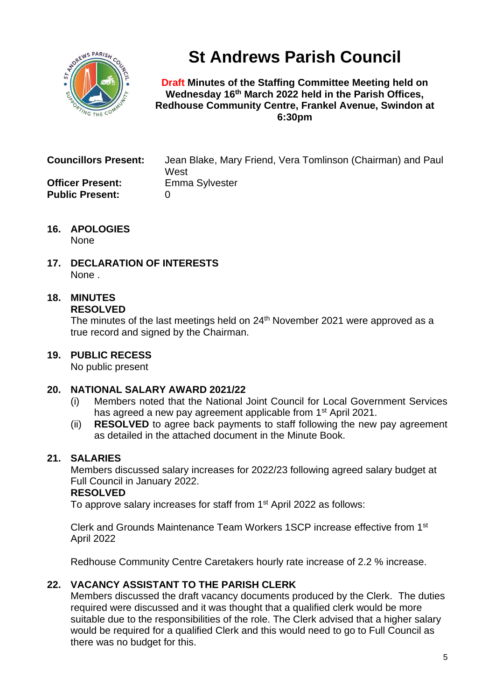

# **St Andrews Parish Council**

**Draft Minutes of the Staffing Committee Meeting held on Wednesday 16th March 2022 held in the Parish Offices, Redhouse Community Centre, Frankel Avenue, Swindon at 6:30pm**

| <b>Councillors Present:</b>                       | Jean Blake, Mary Friend, Vera Tomlinson (Chairman) and Paul<br>West |
|---------------------------------------------------|---------------------------------------------------------------------|
| <b>Officer Present:</b><br><b>Public Present:</b> | <b>Emma Sylvester</b>                                               |

- **16. APOLOGIES** None
- **17. DECLARATION OF INTERESTS**  None .

# **18. MINUTES**

### **RESOLVED**

The minutes of the last meetings held on  $24<sup>th</sup>$  November 2021 were approved as a true record and signed by the Chairman.

# **19. PUBLIC RECESS**

No public present

#### **20. NATIONAL SALARY AWARD 2021/22**

- (i) Members noted that the National Joint Council for Local Government Services has agreed a new pay agreement applicable from 1<sup>st</sup> April 2021.
- (ii) **RESOLVED** to agree back payments to staff following the new pay agreement as detailed in the attached document in the Minute Book.

#### **21. SALARIES**

Members discussed salary increases for 2022/23 following agreed salary budget at Full Council in January 2022.

#### **RESOLVED**

To approve salary increases for staff from 1<sup>st</sup> April 2022 as follows:

Clerk and Grounds Maintenance Team Workers 1SCP increase effective from 1st April 2022

Redhouse Community Centre Caretakers hourly rate increase of 2.2 % increase.

# **22. VACANCY ASSISTANT TO THE PARISH CLERK**

Members discussed the draft vacancy documents produced by the Clerk. The duties required were discussed and it was thought that a qualified clerk would be more suitable due to the responsibilities of the role. The Clerk advised that a higher salary would be required for a qualified Clerk and this would need to go to Full Council as there was no budget for this.